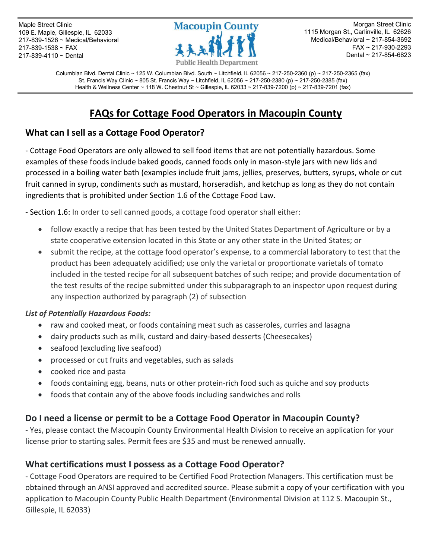Maple Street Clinic 109 E. Maple, Gillespie, IL 62033 217-839-1526 ~ Medical/Behavioral 217-839-1538 ~ FAX 217-839-4110 ~ Dental



Morgan Street Clinic 1115 Morgan St., Carlinville, IL 62626 Medical/Behavioral ~ 217-854-3692 FAX ~ 217-930-2293 Dental ~ 217-854-6823

Columbian Blvd. Dental Clinic ~ 125 W. Columbian Blvd. South ~ Litchfield, IL 62056 ~ 217-250-2360 (p) ~ 217-250-2365 (fax) St. Francis Way Clinic ~ 805 St. Francis Way ~ Litchfield, IL 62056 ~ 217-250-2380 (p) ~ 217-250-2385 (fax) Health & Wellness Center ~ 118 W. Chestnut St ~ Gillespie, IL 62033 ~ 217-839-7200 (p) ~ 217-839-7201 (fax)

# **FAQs for Cottage Food Operators in Macoupin County**

# **What can I sell as a Cottage Food Operator?**

- Cottage Food Operators are only allowed to sell food items that are not potentially hazardous. Some examples of these foods include baked goods, canned foods only in mason-style jars with new lids and processed in a boiling water bath (examples include fruit jams, jellies, preserves, butters, syrups, whole or cut fruit canned in syrup, condiments such as mustard, horseradish, and ketchup as long as they do not contain ingredients that is prohibited under Section 1.6 of the Cottage Food Law.

- Section 1.6: In order to sell canned goods, a cottage food operator shall either:

- follow exactly a recipe that has been tested by the United States Department of Agriculture or by a state cooperative extension located in this State or any other state in the United States; or
- submit the recipe, at the cottage food operator's expense, to a commercial laboratory to test that the product has been adequately acidified; use only the varietal or proportionate varietals of tomato included in the tested recipe for all subsequent batches of such recipe; and provide documentation of the test results of the recipe submitted under this subparagraph to an inspector upon request during any inspection authorized by paragraph (2) of subsection

#### *List of Potentially Hazardous Foods:*

- raw and cooked meat, or foods containing meat such as casseroles, curries and lasagna
- dairy products such as milk, custard and dairy‐based desserts (Cheesecakes)
- seafood (excluding live seafood)
- processed or cut fruits and vegetables, such as salads
- cooked rice and pasta
- foods containing egg, beans, nuts or other protein-rich food such as quiche and soy products
- foods that contain any of the above foods including sandwiches and rolls

### **Do I need a license or permit to be a Cottage Food Operator in Macoupin County?**

- Yes, please contact the Macoupin County Environmental Health Division to receive an application for your license prior to starting sales. Permit fees are \$35 and must be renewed annually.

### **What certifications must I possess as a Cottage Food Operator?**

- Cottage Food Operators are required to be Certified Food Protection Managers. This certification must be obtained through an ANSI approved and accredited source. Please submit a copy of your certification with you application to Macoupin County Public Health Department (Environmental Division at 112 S. Macoupin St., Gillespie, IL 62033)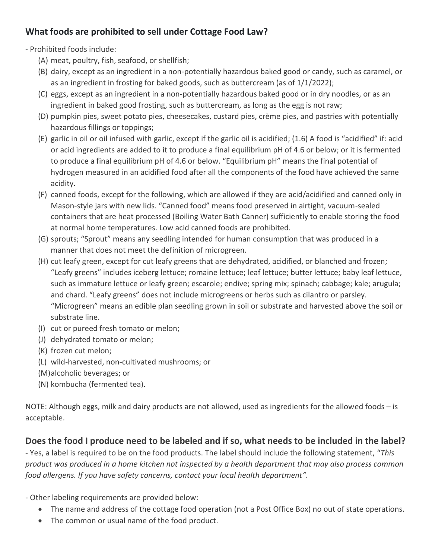# **What foods are prohibited to sell under Cottage Food Law?**

- Prohibited foods include:

- (A) meat, poultry, fish, seafood, or shellfish;
- (B) dairy, except as an ingredient in a non-potentially hazardous baked good or candy, such as caramel, or as an ingredient in frosting for baked goods, such as buttercream (as of 1/1/2022);
- (C) eggs, except as an ingredient in a non-potentially hazardous baked good or in dry noodles, or as an ingredient in baked good frosting, such as buttercream, as long as the egg is not raw;
- (D) pumpkin pies, sweet potato pies, cheesecakes, custard pies, crème pies, and pastries with potentially hazardous fillings or toppings;
- (E) garlic in oil or oil infused with garlic, except if the garlic oil is acidified; (1.6) A food is "acidified" if: acid or acid ingredients are added to it to produce a final equilibrium pH of 4.6 or below; or it is fermented to produce a final equilibrium pH of 4.6 or below. "Equilibrium pH" means the final potential of hydrogen measured in an acidified food after all the components of the food have achieved the same acidity.
- (F) canned foods, except for the following, which are allowed if they are acid/acidified and canned only in Mason-style jars with new lids. "Canned food" means food preserved in airtight, vacuum-sealed containers that are heat processed (Boiling Water Bath Canner) sufficiently to enable storing the food at normal home temperatures. Low acid canned foods are prohibited.
- (G) sprouts; "Sprout" means any seedling intended for human consumption that was produced in a manner that does not meet the definition of microgreen.
- (H) cut leafy green, except for cut leafy greens that are dehydrated, acidified, or blanched and frozen; "Leafy greens" includes iceberg lettuce; romaine lettuce; leaf lettuce; butter lettuce; baby leaf lettuce, such as immature lettuce or leafy green; escarole; endive; spring mix; spinach; cabbage; kale; arugula; and chard. "Leafy greens" does not include microgreens or herbs such as cilantro or parsley. "Microgreen" means an edible plan seedling grown in soil or substrate and harvested above the soil or substrate line.
- (I) cut or pureed fresh tomato or melon;
- (J) dehydrated tomato or melon;
- (K) frozen cut melon;
- (L) wild-harvested, non-cultivated mushrooms; or
- (M)alcoholic beverages; or
- (N) kombucha (fermented tea).

NOTE: Although eggs, milk and dairy products are not allowed, used as ingredients for the allowed foods – is acceptable.

# **Does the food I produce need to be labeled and if so, what needs to be included in the label?**

- Yes, a label is required to be on the food products. The label should include the following statement, "*This product was produced in a home kitchen not inspected by a health department that may also process common food allergens. If you have safety concerns, contact your local health department".*

- Other labeling requirements are provided below:

- The name and address of the cottage food operation (not a Post Office Box) no out of state operations.
- The common or usual name of the food product.